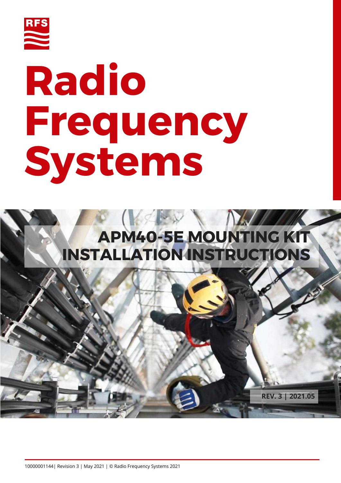

# **Radio Frequency Systems**

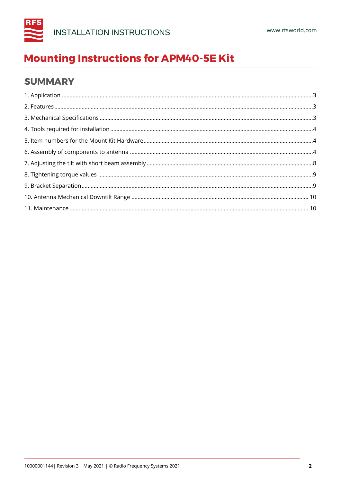

## **SUMMARY**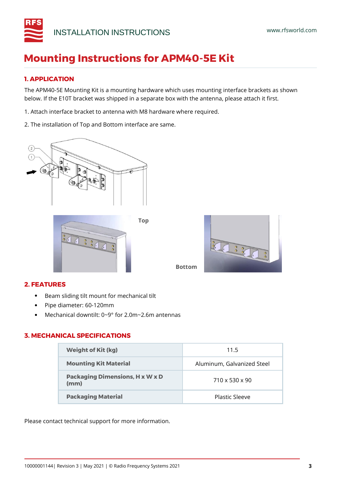

## <span id="page-2-0"></span>**1. APPLICATION**

The APM40-5E Mounting Kit is a mounting hardware which uses mounting interface brackets as shown below. If the E10T bracket was shipped in a separate box with the antenna, please attach it first.

- 1. Attach interface bracket to antenna with M8 hardware where required.
- 2. The installation of Top and Bottom interface are same.



En Paris

## <span id="page-2-1"></span>**2. FEATURES**

- Beam sliding tilt mount for mechanical tilt
- Pipe diameter: 60-120mm
- Mechanical downtilt: 0~9° for 2.0m~2.6m antennas

## <span id="page-2-2"></span>**3. MECHANICAL SPECIFICATIONS**

| <b>Weight of Kit (kg)</b>                      | 11.5                       |
|------------------------------------------------|----------------------------|
| <b>Mounting Kit Material</b>                   | Aluminum, Galvanized Steel |
| <b>Packaging Dimensions, H x W x D</b><br>(mm) | $710 \times 530 \times 90$ |
| <b>Packaging Material</b>                      | Plastic Sleeve             |

**Bottom**

Please contact technical support for more information.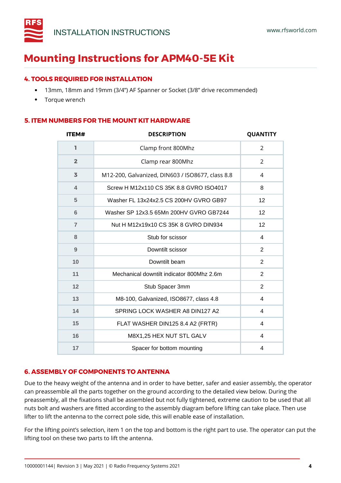

#### <span id="page-3-0"></span>**4. TOOLS REQUIRED FOR INSTALLATION**

- 13mm, 18mm and 19mm (3/4") AF Spanner or Socket (3/8" drive recommended)
- Torque wrench

#### <span id="page-3-1"></span>**5. ITEM NUMBERS FOR THE MOUNT KIT HARDWARE**

| <b>ITEM#</b>   | <b>DESCRIPTION</b>                               | <b>QUANTITY</b> |
|----------------|--------------------------------------------------|-----------------|
| ı              | Clamp front 800Mhz                               | 2               |
| $\overline{2}$ | Clamp rear 800Mhz                                | $\overline{2}$  |
| 3              | M12-200, Galvanized, DIN603 / ISO8677, class 8.8 | $\overline{4}$  |
| $\overline{4}$ | Screw H M12x110 CS 35K 8.8 GVRO ISO4017          | 8               |
| 5              | Washer FL 13x24x2.5 CS 200HV GVRO GB97           | 12              |
| 6              | Washer SP 12x3.5 65Mn 200HV GVRO GB7244          | 12              |
| $\overline{7}$ | Nut H M12x19x10 CS 35K 8 GVRO DIN934             | 12              |
| 8              | Stub for scissor                                 | 4               |
| 9              | Downtilt scissor                                 | 2               |
| 10             | Downtilt beam                                    | 2               |
| 11             | Mechanical downtilt indicator 800Mhz 2.6m        | $\overline{2}$  |
| 12             | Stub Spacer 3mm                                  |                 |
| 13             | M8-100, Galvanized, ISO8677, class 4.8           | $\overline{4}$  |
| 14             | SPRING LOCK WASHER A8 DIN127 A2                  | 4               |
| 15             | FLAT WASHER DIN125 8.4 A2 (FRTR)                 | 4               |
| 16             | M8X1,25 HEX NUT STL GALV<br>4                    |                 |
| 17             | Spacer for bottom mounting                       | 4               |

#### <span id="page-3-2"></span>**6. ASSEMBLY OF COMPONENTS TO ANTENNA**

Due to the heavy weight of the antenna and in order to have better, safer and easier assembly, the operator can preassemble all the parts together on the ground according to the detailed view below. During the preassembly, all the fixations shall be assembled but not fully tightened, extreme caution to be used that all nuts bolt and washers are fitted according to the assembly diagram before lifting can take place. Then use lifter to lift the antenna to the correct pole side, this will enable ease of installation.

For the lifting point's selection, item 1 on the top and bottom is the right part to use. The operator can put the lifting tool on these two parts to lift the antenna.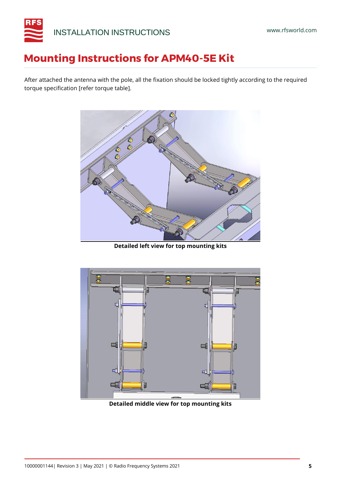

After attached the antenna with the pole, all the fixation should be locked tightly according to the required torque specification [refer torque table].



**Detailed left view for top mounting kits**



**Detailed middle view for top mounting kits**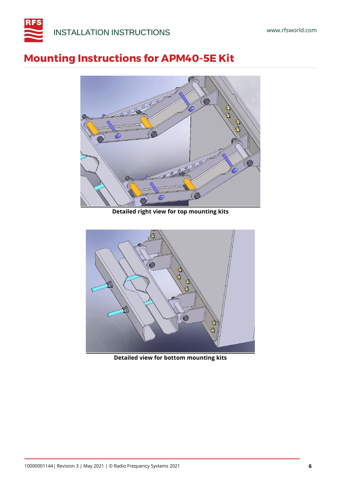



**Detailed right view for top mounting kits**



**Detailed view for bottom mounting kits**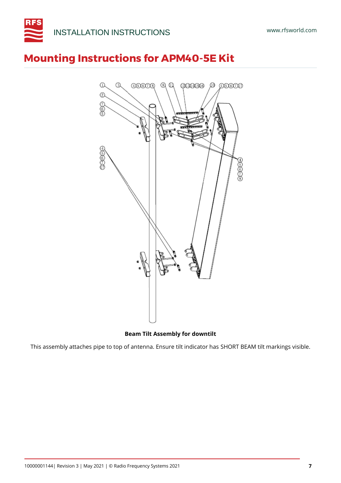



**Beam Tilt Assembly for downtilt**

This assembly attaches pipe to top of antenna. Ensure tilt indicator has SHORT BEAM tilt markings visible.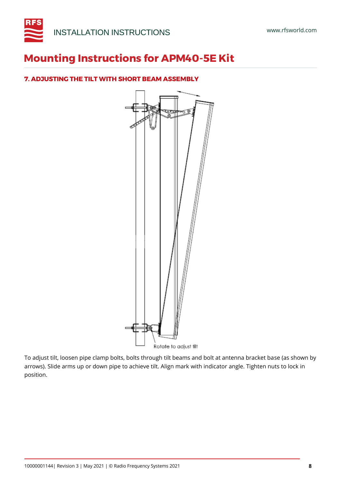

## <span id="page-7-0"></span>**7. ADJUSTING THE TILT WITH SHORT BEAM ASSEMBLY**



To adjust tilt, loosen pipe clamp bolts, bolts through tilt beams and bolt at antenna bracket base (as shown by arrows). Slide arms up or down pipe to achieve tilt. Align mark with indicator angle. Tighten nuts to lock in position.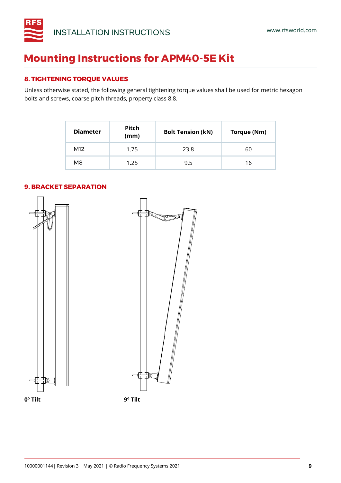

## <span id="page-8-0"></span>**8. TIGHTENING TORQUE VALUES**

Unless otherwise stated, the following general tightening torque values shall be used for metric hexagon bolts and screws, coarse pitch threads, property class 8.8.

| <b>Diameter</b> | Pitch<br>(mm) | <b>Bolt Tension (kN)</b> | Torque (Nm) |
|-----------------|---------------|--------------------------|-------------|
| M12             | 1.75          | 23.8                     | 60          |
| M <sub>8</sub>  | 1.25          | 9.5                      | 16          |

<span id="page-8-1"></span>

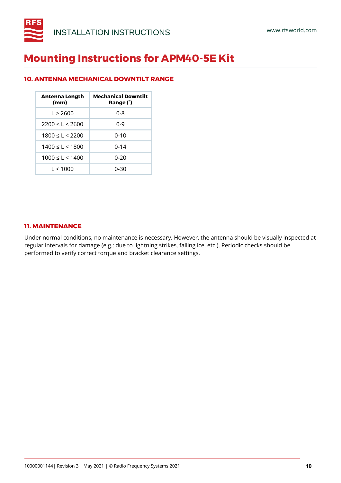

## <span id="page-9-0"></span>**10. ANTENNA MECHANICAL DOWNTILT RANGE**

| <b>Antenna Length</b><br>(mm) | <b>Mechanical Downtilt</b><br>Range (°) |
|-------------------------------|-----------------------------------------|
| $1 \geq 2600$                 | 0-8                                     |
| $2200 \leq l \leq 2600$       | በ-ዓ                                     |
| $1800 \leq l \leq 2200$       | $0 - 10$                                |
| $1400 \leq l \leq 1800$       | $0 - 14$                                |
| $1000 \leq l \leq 1400$       | 0-20                                    |
| 1 < 1000                      | 0-30                                    |

#### <span id="page-9-1"></span>**11. MAINTENANCE**

Under normal conditions, no maintenance is necessary. However, the antenna should be visually inspected at regular intervals for damage (e.g.: due to lightning strikes, falling ice, etc.). Periodic checks should be performed to verify correct torque and bracket clearance settings.